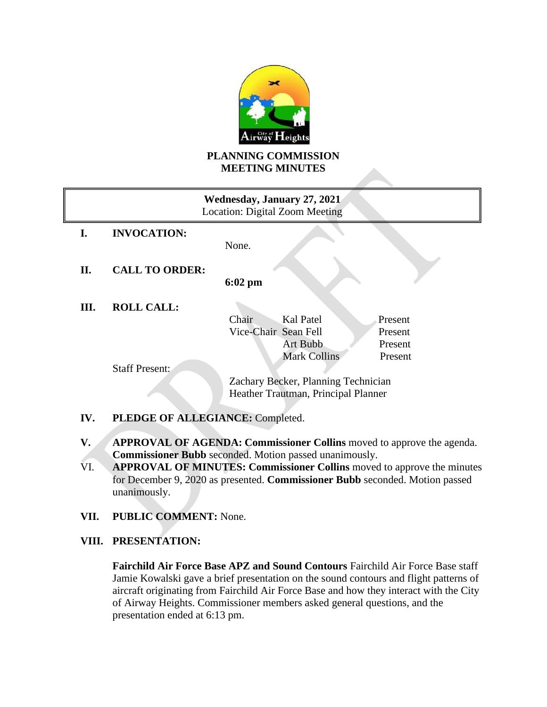

### **PLANNING COMMISSION MEETING MINUTES**

| Wednesday, January 27, 2021<br>Location: Digital Zoom Meeting |                       |                                     |         |
|---------------------------------------------------------------|-----------------------|-------------------------------------|---------|
| I.                                                            | <b>INVOCATION:</b>    |                                     |         |
|                                                               |                       | None.                               |         |
| II.                                                           | <b>CALL TO ORDER:</b> |                                     |         |
|                                                               |                       | $6:02 \text{ pm}$                   |         |
| Ш.                                                            | <b>ROLL CALL:</b>     |                                     |         |
|                                                               |                       | Kal Patel<br>Chair                  | Present |
|                                                               |                       | Vice-Chair Sean Fell                | Present |
|                                                               |                       | Art Bubb                            | Present |
|                                                               |                       | <b>Mark Collins</b>                 | Present |
|                                                               | <b>Staff Present:</b> |                                     |         |
|                                                               |                       | Zachary Becker, Planning Technician |         |
|                                                               |                       | Heather Trautman, Principal Planner |         |
|                                                               |                       |                                     |         |

# **IV. PLEDGE OF ALLEGIANCE:** Completed.

- **V. APPROVAL OF AGENDA: Commissioner Collins** moved to approve the agenda. **Commissioner Bubb** seconded. Motion passed unanimously.
- VI. **APPROVAL OF MINUTES: Commissioner Collins** moved to approve the minutes for December 9, 2020 as presented. **Commissioner Bubb** seconded. Motion passed unanimously.
- **VII. PUBLIC COMMENT:** None.

# **VIII. PRESENTATION:**

**Fairchild Air Force Base APZ and Sound Contours** Fairchild Air Force Base staff Jamie Kowalski gave a brief presentation on the sound contours and flight patterns of aircraft originating from Fairchild Air Force Base and how they interact with the City of Airway Heights. Commissioner members asked general questions, and the presentation ended at 6:13 pm.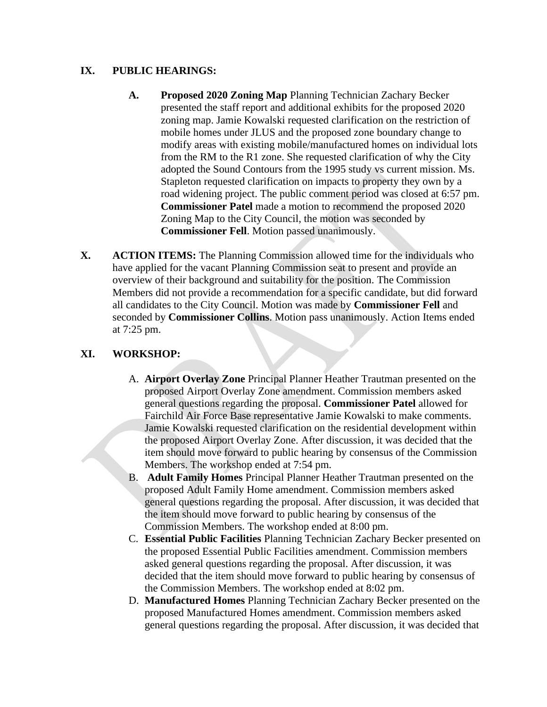### **IX. PUBLIC HEARINGS:**

- **A. Proposed 2020 Zoning Map** Planning Technician Zachary Becker presented the staff report and additional exhibits for the proposed 2020 zoning map. Jamie Kowalski requested clarification on the restriction of mobile homes under JLUS and the proposed zone boundary change to modify areas with existing mobile/manufactured homes on individual lots from the RM to the R1 zone. She requested clarification of why the City adopted the Sound Contours from the 1995 study vs current mission. Ms. Stapleton requested clarification on impacts to property they own by a road widening project. The public comment period was closed at 6:57 pm. **Commissioner Patel** made a motion to recommend the proposed 2020 Zoning Map to the City Council, the motion was seconded by **Commissioner Fell**. Motion passed unanimously.
- **X. ACTION ITEMS:** The Planning Commission allowed time for the individuals who have applied for the vacant Planning Commission seat to present and provide an overview of their background and suitability for the position. The Commission Members did not provide a recommendation for a specific candidate, but did forward all candidates to the City Council. Motion was made by **Commissioner Fell** and seconded by **Commissioner Collins**. Motion pass unanimously. Action Items ended at 7:25 pm.

## **XI. WORKSHOP:**

- A. **Airport Overlay Zone** Principal Planner Heather Trautman presented on the proposed Airport Overlay Zone amendment. Commission members asked general questions regarding the proposal. **Commissioner Patel** allowed for Fairchild Air Force Base representative Jamie Kowalski to make comments. Jamie Kowalski requested clarification on the residential development within the proposed Airport Overlay Zone. After discussion, it was decided that the item should move forward to public hearing by consensus of the Commission Members. The workshop ended at 7:54 pm.
- B. **Adult Family Homes** Principal Planner Heather Trautman presented on the proposed Adult Family Home amendment. Commission members asked general questions regarding the proposal. After discussion, it was decided that the item should move forward to public hearing by consensus of the Commission Members. The workshop ended at 8:00 pm.
- C. **Essential Public Facilities** Planning Technician Zachary Becker presented on the proposed Essential Public Facilities amendment. Commission members asked general questions regarding the proposal. After discussion, it was decided that the item should move forward to public hearing by consensus of the Commission Members. The workshop ended at 8:02 pm.
- D. **Manufactured Homes** Planning Technician Zachary Becker presented on the proposed Manufactured Homes amendment. Commission members asked general questions regarding the proposal. After discussion, it was decided that